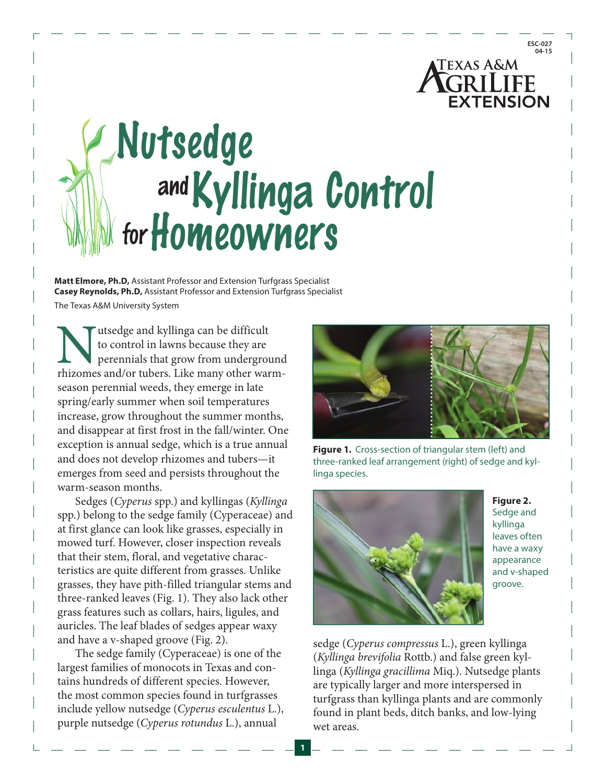# **TEXAS A&M GRILIFF EXTENSION**

# **Kyllinga Control and Nutsedge forHomeowners**

**Matt Elmore, Ph.D,** Assistant Professor and Extension Turfgrass Specialist **Casey Reynolds, Ph.D,** Assistant Professor and Extension Turfgrass Specialist The Texas A&M University System

Mutsedge and kyllinga can be difficult to control in lawns because they are perennials that grow from underground rhizomes and/or tubers. Like many other warmto control in lawns because they are perennials that grow from underground season perennial weeds, they emerge in late spring/early summer when soil temperatures increase, grow throughout the summer months, and disappear at first frost in the fall/winter. One exception is annual sedge, which is a true annual and does not develop rhizomes and tubers—it emerges from seed and persists throughout the warm-season months.

Sedges (*Cyperus* spp.) and kyllingas (*Kyllinga* spp.) belong to the sedge family (Cyperaceae) and at first glance can look like grasses, especially in mowed turf. However, closer inspection reveals that their stem, floral, and vegetative characteristics are quite different from grasses. Unlike grasses, they have pith-filled triangular stems and three-ranked leaves (Fig. 1). They also lack other grass features such as collars, hairs, ligules, and auricles. The leaf blades of sedges appear waxy and have a v-shaped groove (Fig. 2).

The sedge family (Cyperaceae) is one of the largest families of monocots in Texas and contains hundreds of different species. However, the most common species found in turfgrasses include yellow nutsedge (*Cyperus esculentus* L.), purple nutsedge (*Cyperus rotundus* L.), annual



**Figure 1.** Cross-section of triangular stem (left) and three-ranked leaf arrangement (right) of sedge and kyllinga species.



**1**

**Figure 2.**  Sedge and kyllinga leaves often have a waxy appearance and v-shaped groove.

sedge (*Cyperus compressus* L.), green kyllinga (*Kyllinga brevifolia* Rottb.) and false green kyllinga (*Kyllinga gracillima* Miq.). Nutsedge plants are typically larger and more interspersed in turfgrass than kyllinga plants and are commonly found in plant beds, ditch banks, and low-lying wet areas.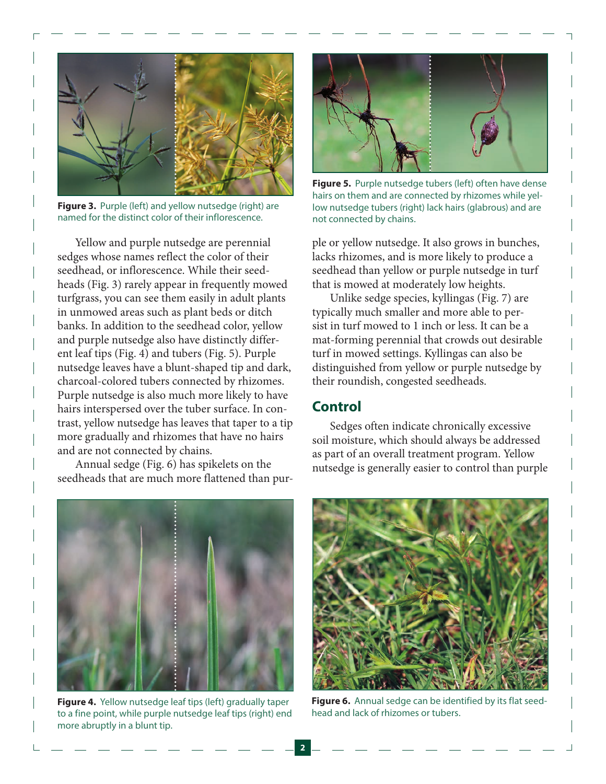

**Figure 3.** Purple (left) and yellow nutsedge (right) are named for the distinct color of their inflorescence.

Yellow and purple nutsedge are perennial sedges whose names reflect the color of their seedhead, or inflorescence. While their seedheads (Fig. 3) rarely appear in frequently mowed turfgrass, you can see them easily in adult plants in unmowed areas such as plant beds or ditch banks. In addition to the seedhead color, yellow and purple nutsedge also have distinctly different leaf tips (Fig. 4) and tubers (Fig. 5). Purple nutsedge leaves have a blunt-shaped tip and dark, charcoal-colored tubers connected by rhizomes. Purple nutsedge is also much more likely to have hairs interspersed over the tuber surface. In contrast, yellow nutsedge has leaves that taper to a tip more gradually and rhizomes that have no hairs and are not connected by chains.

Annual sedge (Fig. 6) has spikelets on the seedheads that are much more flattened than pur-



**Figure 5.** Purple nutsedge tubers (left) often have dense hairs on them and are connected by rhizomes while yellow nutsedge tubers (right) lack hairs (glabrous) and are not connected by chains.

ple or yellow nutsedge. It also grows in bunches, lacks rhizomes, and is more likely to produce a seedhead than yellow or purple nutsedge in turf that is mowed at moderately low heights.

Unlike sedge species, kyllingas (Fig. 7) are typically much smaller and more able to persist in turf mowed to 1 inch or less. It can be a mat-forming perennial that crowds out desirable turf in mowed settings. Kyllingas can also be distinguished from yellow or purple nutsedge by their roundish, congested seedheads.

# **Control**

Sedges often indicate chronically excessive soil moisture, which should always be addressed as part of an overall treatment program. Yellow nutsedge is generally easier to control than purple



**Figure 4.** Yellow nutsedge leaf tips (left) gradually taper to a fine point, while purple nutsedge leaf tips (right) end more abruptly in a blunt tip.



**Figure 6.** Annual sedge can be identified by its flat seedhead and lack of rhizomes or tubers.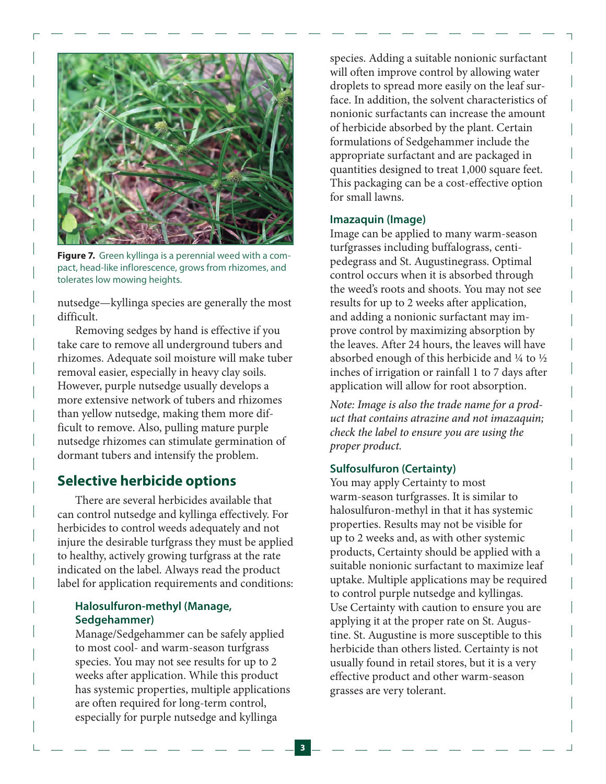

**Figure 7.** Green kyllinga is a perennial weed with a compact, head-like inflorescence, grows from rhizomes, and tolerates low mowing heights.

nutsedge—kyllinga species are generally the most difficult.

Removing sedges by hand is effective if you take care to remove all underground tubers and rhizomes. Adequate soil moisture will make tuber removal easier, especially in heavy clay soils. However, purple nutsedge usually develops a more extensive network of tubers and rhizomes than yellow nutsedge, making them more difficult to remove. Also, pulling mature purple nutsedge rhizomes can stimulate germination of dormant tubers and intensify the problem.

# **Selective herbicide options**

There are several herbicides available that can control nutsedge and kyllinga effectively. For herbicides to control weeds adequately and not injure the desirable turfgrass they must be applied to healthy, actively growing turfgrass at the rate indicated on the label. Always read the product label for application requirements and conditions:

## **Halosulfuron-methyl (Manage, Sedgehammer)**

Manage/Sedgehammer can be safely applied to most cool- and warm-season turfgrass species. You may not see results for up to 2 weeks after application. While this product has systemic properties, multiple applications are often required for long-term control, especially for purple nutsedge and kyllinga

species. Adding a suitable nonionic surfactant will often improve control by allowing water droplets to spread more easily on the leaf surface. In addition, the solvent characteristics of nonionic surfactants can increase the amount of herbicide absorbed by the plant. Certain formulations of Sedgehammer include the appropriate surfactant and are packaged in quantities designed to treat 1,000 square feet. This packaging can be a cost-effective option for small lawns.

#### **Imazaquin (Image)**

Image can be applied to many warm-season turfgrasses including buffalograss, centipedegrass and St. Augustinegrass. Optimal control occurs when it is absorbed through the weed's roots and shoots. You may not see results for up to 2 weeks after application, and adding a nonionic surfactant may improve control by maximizing absorption by the leaves. After 24 hours, the leaves will have absorbed enough of this herbicide and ¼ to ½ inches of irrigation or rainfall 1 to 7 days after application will allow for root absorption.

*Note: Image is also the trade name for a product that contains atrazine and not imazaquin; check the label to ensure you are using the proper product.*

#### **Sulfosulfuron (Certainty)**

You may apply Certainty to most warm-season turfgrasses. It is similar to halosulfuron-methyl in that it has systemic properties. Results may not be visible for up to 2 weeks and, as with other systemic products, Certainty should be applied with a suitable nonionic surfactant to maximize leaf uptake. Multiple applications may be required to control purple nutsedge and kyllingas. Use Certainty with caution to ensure you are applying it at the proper rate on St. Augustine. St. Augustine is more susceptible to this herbicide than others listed. Certainty is not usually found in retail stores, but it is a very effective product and other warm-season grasses are very tolerant.